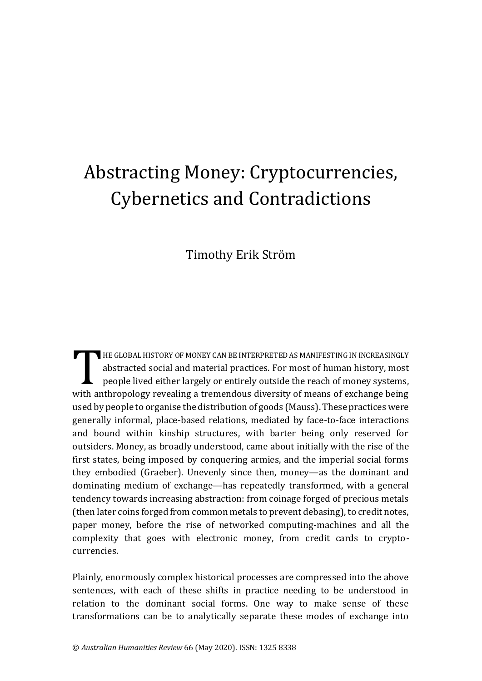## Abstracting Money: Cryptocurrencies, Cybernetics and Contradictions

Timothy Erik Ström

HE GLOBAL HISTORY OF MONEY CAN BE INTERPRETED AS MANIFESTING IN INCREASINGLY abstracted social and material practices. For most of human history, most people lived either largely or entirely outside the reach of money systems, with anthropology revealing a tremendous diversity of means of exchange being used by people to organise the distribution of goods (Mauss). These practices were generally informal, place-based relations, mediated by face-to-face interactions and bound within kinship structures, with barter being only reserved for outsiders. Money, as broadly understood, came about initially with the rise of the first states, being imposed by conquering armies, and the imperial social forms they embodied (Graeber). Unevenly since then, money—as the dominant and dominating medium of exchange—has repeatedly transformed, with a general tendency towards increasing abstraction: from coinage forged of precious metals (then later coins forged from common metals to prevent debasing), to credit notes, paper money, before the rise of networked computing-machines and all the complexity that goes with electronic money, from credit cards to cryptocurrencies. T<br>"ither"

Plainly, enormously complex historical processes are compressed into the above sentences, with each of these shifts in practice needing to be understood in relation to the dominant social forms. One way to make sense of these transformations can be to analytically separate these modes of exchange into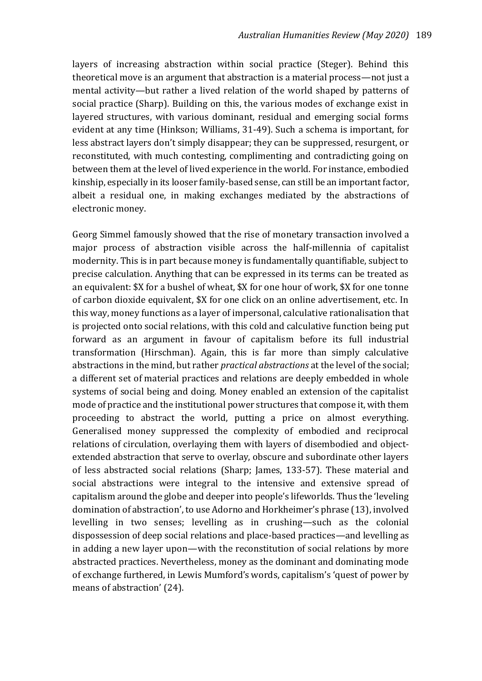layers of increasing abstraction within social practice (Steger). Behind this theoretical move is an argument that abstraction is a material process—not just a mental activity—but rather a lived relation of the world shaped by patterns of social practice (Sharp). Building on this, the various modes of exchange exist in layered structures, with various dominant, residual and emerging social forms evident at any time (Hinkson; Williams, 31-49). Such a schema is important, for less abstract layers don't simply disappear; they can be suppressed, resurgent, or reconstituted, with much contesting, complimenting and contradicting going on between them at the level of lived experience in the world. For instance, embodied kinship, especially in its looser family-based sense, can still be an important factor, albeit a residual one, in making exchanges mediated by the abstractions of electronic money.

Georg Simmel famously showed that the rise of monetary transaction involved a major process of abstraction visible across the half-millennia of capitalist modernity. This is in part because money is fundamentally quantifiable, subject to precise calculation. Anything that can be expressed in its terms can be treated as an equivalent: \$X for a bushel of wheat, \$X for one hour of work, \$X for one tonne of carbon dioxide equivalent, \$X for one click on an online advertisement, etc. In this way, money functions as a layer of impersonal, calculative rationalisation that is projected onto social relations, with this cold and calculative function being put forward as an argument in favour of capitalism before its full industrial transformation (Hirschman). Again, this is far more than simply calculative abstractions in the mind, but rather *practical abstractions* at the level of the social; a different set of material practices and relations are deeply embedded in whole systems of social being and doing. Money enabled an extension of the capitalist mode of practice and the institutional power structures that compose it, with them proceeding to abstract the world, putting a price on almost everything. Generalised money suppressed the complexity of embodied and reciprocal relations of circulation, overlaying them with layers of disembodied and objectextended abstraction that serve to overlay, obscure and subordinate other layers of less abstracted social relations (Sharp; James, 133-57). These material and social abstractions were integral to the intensive and extensive spread of capitalism around the globe and deeper into people's lifeworlds. Thus the 'leveling domination of abstraction', to use Adorno and Horkheimer's phrase (13), involved levelling in two senses; levelling as in crushing—such as the colonial dispossession of deep social relations and place-based practices—and levelling as in adding a new layer upon—with the reconstitution of social relations by more abstracted practices. Nevertheless, money as the dominant and dominating mode of exchange furthered, in Lewis Mumford's words, capitalism's 'quest of power by means of abstraction' (24).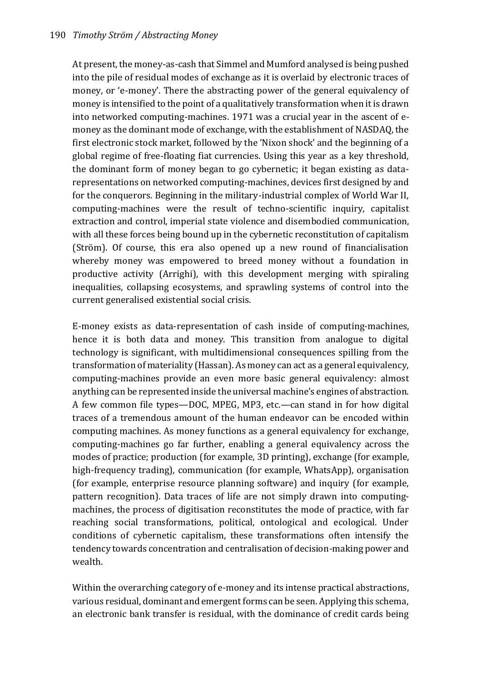At present, the money-as-cash that Simmel and Mumford analysed is being pushed into the pile of residual modes of exchange as it is overlaid by electronic traces of money, or 'e-money'. There the abstracting power of the general equivalency of money is intensified to the point of a qualitatively transformation when it is drawn into networked computing-machines. 1971 was a crucial year in the ascent of emoney as the dominant mode of exchange, with the establishment of NASDAQ, the first electronic stock market, followed by the 'Nixon shock' and the beginning of a global regime of free-floating fiat currencies. Using this year as a key threshold, the dominant form of money began to go cybernetic; it began existing as datarepresentations on networked computing-machines, devices first designed by and for the conquerors. Beginning in the military-industrial complex of World War II, computing-machines were the result of techno-scientific inquiry, capitalist extraction and control, imperial state violence and disembodied communication, with all these forces being bound up in the cybernetic reconstitution of capitalism (Ström). Of course, this era also opened up a new round of financialisation whereby money was empowered to breed money without a foundation in productive activity (Arrighi), with this development merging with spiraling inequalities, collapsing ecosystems, and sprawling systems of control into the current generalised existential social crisis.

E-money exists as data-representation of cash inside of computing-machines, hence it is both data and money. This transition from analogue to digital technology is significant, with multidimensional consequences spilling from the transformation of materiality (Hassan). As money can act as a general equivalency, computing-machines provide an even more basic general equivalency: almost anything can be represented inside the universal machine's engines of abstraction. A few common file types—DOC, MPEG, MP3, etc.—can stand in for how digital traces of a tremendous amount of the human endeavor can be encoded within computing machines. As money functions as a general equivalency for exchange, computing-machines go far further, enabling a general equivalency across the modes of practice; production (for example, 3D printing), exchange (for example, high-frequency trading), communication (for example, WhatsApp), organisation (for example, enterprise resource planning software) and inquiry (for example, pattern recognition). Data traces of life are not simply drawn into computingmachines, the process of digitisation reconstitutes the mode of practice, with far reaching social transformations, political, ontological and ecological. Under conditions of cybernetic capitalism, these transformations often intensify the tendency towards concentration and centralisation of decision-making power and wealth.

Within the overarching category of e-money and its intense practical abstractions, various residual, dominant and emergent forms can be seen. Applying this schema, an electronic bank transfer is residual, with the dominance of credit cards being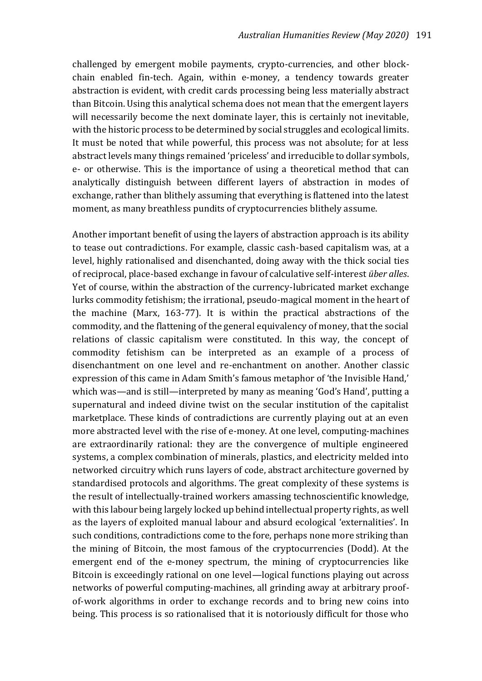challenged by emergent mobile payments, crypto-currencies, and other blockchain enabled fin-tech. Again, within e-money, a tendency towards greater abstraction is evident, with credit cards processing being less materially abstract than Bitcoin. Using this analytical schema does not mean that the emergent layers will necessarily become the next dominate layer, this is certainly not inevitable, with the historic process to be determined by social struggles and ecological limits. It must be noted that while powerful, this process was not absolute; for at less abstract levels many things remained 'priceless' and irreducible to dollar symbols, e- or otherwise. This is the importance of using a theoretical method that can analytically distinguish between different layers of abstraction in modes of exchange, rather than blithely assuming that everything is flattened into the latest moment, as many breathless pundits of cryptocurrencies blithely assume.

Another important benefit of using the layers of abstraction approach is its ability to tease out contradictions. For example, classic cash-based capitalism was, at a level, highly rationalised and disenchanted, doing away with the thick social ties of reciprocal, place-based exchange in favour of calculative self-interest *über alles*. Yet of course, within the abstraction of the currency-lubricated market exchange lurks commodity fetishism; the irrational, pseudo-magical moment in the heart of the machine (Marx, 163-77). It is within the practical abstractions of the commodity, and the flattening of the general equivalency of money, that the social relations of classic capitalism were constituted. In this way, the concept of commodity fetishism can be interpreted as an example of a process of disenchantment on one level and re-enchantment on another. Another classic expression of this came in Adam Smith's famous metaphor of 'the Invisible Hand,' which was—and is still—interpreted by many as meaning 'God's Hand', putting a supernatural and indeed divine twist on the secular institution of the capitalist marketplace. These kinds of contradictions are currently playing out at an even more abstracted level with the rise of e-money. At one level, computing-machines are extraordinarily rational: they are the convergence of multiple engineered systems, a complex combination of minerals, plastics, and electricity melded into networked circuitry which runs layers of code, abstract architecture governed by standardised protocols and algorithms. The great complexity of these systems is the result of intellectually-trained workers amassing technoscientific knowledge, with this labour being largely locked up behind intellectual property rights, as well as the layers of exploited manual labour and absurd ecological 'externalities'. In such conditions, contradictions come to the fore, perhaps none more striking than the mining of Bitcoin, the most famous of the cryptocurrencies (Dodd). At the emergent end of the e-money spectrum, the mining of cryptocurrencies like Bitcoin is exceedingly rational on one level—logical functions playing out across networks of powerful computing-machines, all grinding away at arbitrary proofof-work algorithms in order to exchange records and to bring new coins into being. This process is so rationalised that it is notoriously difficult for those who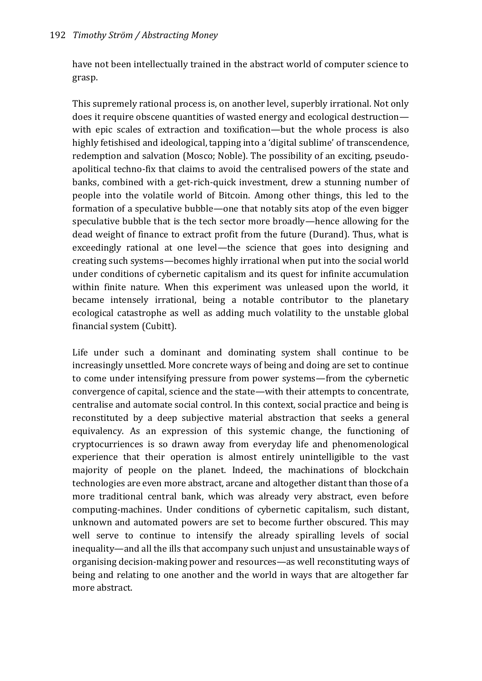have not been intellectually trained in the abstract world of computer science to grasp.

This supremely rational process is, on another level, superbly irrational. Not only does it require obscene quantities of wasted energy and ecological destruction with epic scales of extraction and toxification—but the whole process is also highly fetishised and ideological, tapping into a 'digital sublime' of transcendence, redemption and salvation (Mosco; Noble). The possibility of an exciting, pseudoapolitical techno-fix that claims to avoid the centralised powers of the state and banks, combined with a get-rich-quick investment, drew a stunning number of people into the volatile world of Bitcoin. Among other things, this led to the formation of a speculative bubble—one that notably sits atop of the even bigger speculative bubble that is the tech sector more broadly—hence allowing for the dead weight of finance to extract profit from the future (Durand). Thus, what is exceedingly rational at one level—the science that goes into designing and creating such systems—becomes highly irrational when put into the social world under conditions of cybernetic capitalism and its quest for infinite accumulation within finite nature. When this experiment was unleased upon the world, it became intensely irrational, being a notable contributor to the planetary ecological catastrophe as well as adding much volatility to the unstable global financial system (Cubitt).

Life under such a dominant and dominating system shall continue to be increasingly unsettled. More concrete ways of being and doing are set to continue to come under intensifying pressure from power systems—from the cybernetic convergence of capital, science and the state—with their attempts to concentrate, centralise and automate social control. In this context, social practice and being is reconstituted by a deep subjective material abstraction that seeks a general equivalency. As an expression of this systemic change, the functioning of cryptocurriences is so drawn away from everyday life and phenomenological experience that their operation is almost entirely unintelligible to the vast majority of people on the planet. Indeed, the machinations of blockchain technologies are even more abstract, arcane and altogether distant than those of a more traditional central bank, which was already very abstract, even before computing-machines. Under conditions of cybernetic capitalism, such distant, unknown and automated powers are set to become further obscured. This may well serve to continue to intensify the already spiralling levels of social inequality—and all the ills that accompany such unjust and unsustainable ways of organising decision-making power and resources—as well reconstituting ways of being and relating to one another and the world in ways that are altogether far more abstract.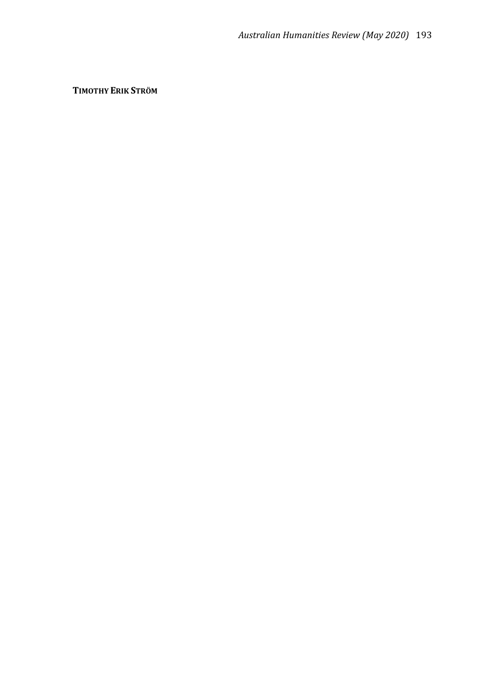**TIMOTHY ERIK STRÖM**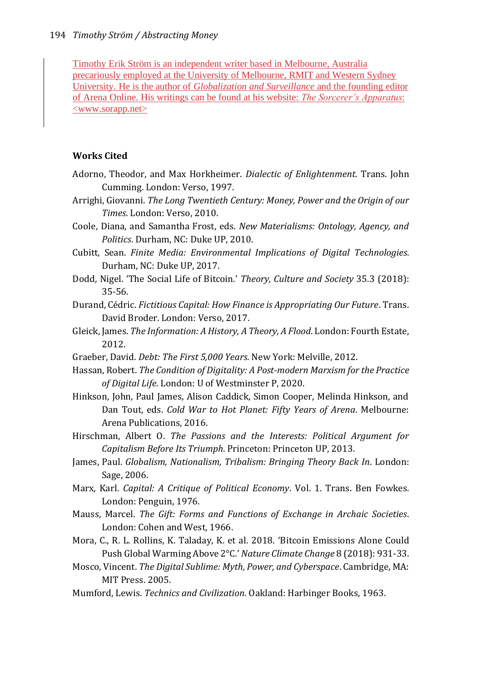Timothy Erik Ström is an independent writer based in Melbourne, Australia precariously employed at the University of Melbourne, RMIT and Western Sydney University. He is the author of *Globalization and Surveillance* and the founding editor of Arena Online. His writings can be found at his website: *The Sorcerer's Apparatus*:  $\leq$ www.sorapp.net $>$ 

## **Works Cited**

- Adorno, Theodor, and Max Horkheimer. *Dialectic of Enlightenment*. Trans. John Cumming. London: Verso, 1997.
- Arrighi, Giovanni. *The Long Twentieth Century: Money, Power and the Origin of our Times*. London: Verso, 2010.
- Coole, Diana, and Samantha Frost, eds. *New Materialisms: Ontology, Agency, and Politics*. Durham, NC: Duke UP, 2010.
- Cubitt, Sean. *Finite Media: Environmental Implications of Digital Technologies*. Durham, NC: Duke UP, 2017.
- Dodd, Nigel. 'The Social Life of Bitcoin.' *Theory, Culture and Society* 35.3 (2018): 35-56.
- Durand, Cédric. *Fictitious Capital: How Finance is Appropriating Our Future*. Trans. David Broder. London: Verso, 2017.
- Gleick, James. *The Information: A History, A Theory, A Flood*. London: Fourth Estate, 2012.
- Graeber, David. *Debt: The First 5,000 Years*. New York: Melville, 2012.
- Hassan, Robert. *The Condition of Digitality: A Post-modern Marxism for the Practice of Digital Life*. London: U of Westminster P, 2020.
- Hinkson, John, Paul James, Alison Caddick, Simon Cooper, Melinda Hinkson, and Dan Tout, eds. *Cold War to Hot Planet: Fifty Years of Arena*. Melbourne: Arena Publications, 2016.
- Hirschman, Albert O. *The Passions and the Interests: Political Argument for Capitalism Before Its Triumph*. Princeton: Princeton UP, 2013.
- James, Paul. *Globalism, Nationalism, Tribalism: Bringing Theory Back In*. London: Sage, 2006.
- Marx, Karl. *Capital: A Critique of Political Economy*. Vol. 1. Trans. Ben Fowkes. London: Penguin, 1976.
- Mauss, Marcel. *The Gift: Forms and Functions of Exchange in Archaic Societies*. London: Cohen and West, 1966.
- Mora, C., R. L. Rollins, K. Taladay, K. et al. 2018. 'Bitcoin Emissions Alone Could Push Global Warming Above 2°C.' *Nature Climate Change* 8 (2018): 931-33.
- Mosco, Vincent. *The Digital Sublime: Myth, Power, and Cyberspace*. Cambridge, MA: MIT Press. 2005.
- Mumford, Lewis. *Technics and Civilization*. Oakland: Harbinger Books, 1963.